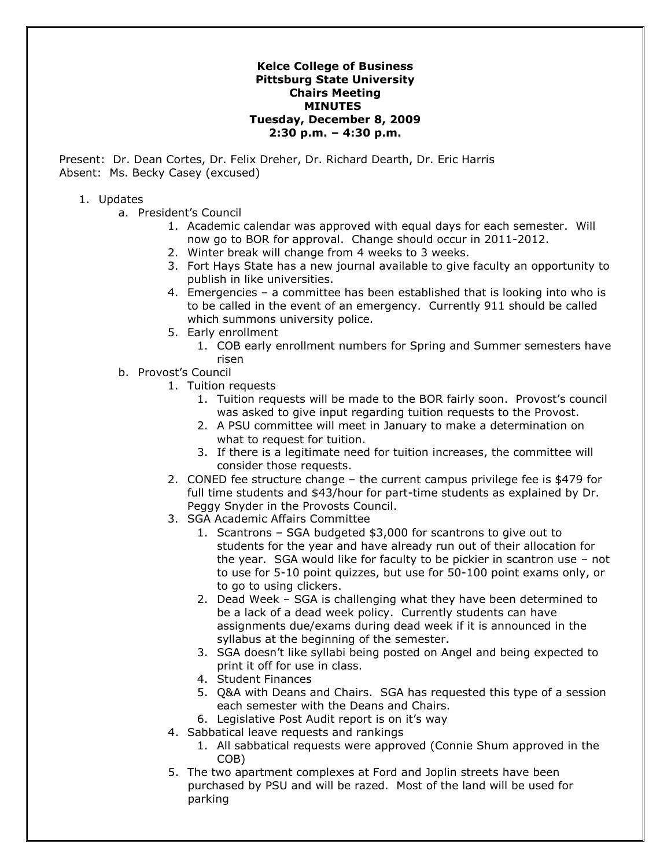## **Kelce College of Business Pittsburg State University Chairs Meeting MINUTES Tuesday, December 8, 2009 2:30 p.m. – 4:30 p.m.**

Present: Dr. Dean Cortes, Dr. Felix Dreher, Dr. Richard Dearth, Dr. Eric Harris Absent: Ms. Becky Casey (excused)

## 1. Updates

- a. President's Council
	- 1. Academic calendar was approved with equal days for each semester. Will now go to BOR for approval. Change should occur in 2011-2012.
	- 2. Winter break will change from 4 weeks to 3 weeks.
	- 3. Fort Hays State has a new journal available to give faculty an opportunity to publish in like universities.
	- 4. Emergencies a committee has been established that is looking into who is to be called in the event of an emergency. Currently 911 should be called which summons university police.
	- 5. Early enrollment
		- 1. COB early enrollment numbers for Spring and Summer semesters have risen
- b. Provost's Council
	- 1. Tuition requests
		- 1. Tuition requests will be made to the BOR fairly soon. Provost's council was asked to give input regarding tuition requests to the Provost.
		- 2. A PSU committee will meet in January to make a determination on what to request for tuition.
		- 3. If there is a legitimate need for tuition increases, the committee will consider those requests.
	- 2. CONED fee structure change the current campus privilege fee is \$479 for full time students and \$43/hour for part-time students as explained by Dr. Peggy Snyder in the Provosts Council.
	- 3. SGA Academic Affairs Committee
		- 1. Scantrons SGA budgeted \$3,000 for scantrons to give out to students for the year and have already run out of their allocation for the year. SGA would like for faculty to be pickier in scantron use – not to use for 5-10 point quizzes, but use for 50-100 point exams only, or to go to using clickers.
		- 2. Dead Week SGA is challenging what they have been determined to be a lack of a dead week policy. Currently students can have assignments due/exams during dead week if it is announced in the syllabus at the beginning of the semester.
		- 3. SGA doesn't like syllabi being posted on Angel and being expected to print it off for use in class.
		- 4. Student Finances
		- 5. Q&A with Deans and Chairs. SGA has requested this type of a session each semester with the Deans and Chairs.
		- 6. Legislative Post Audit report is on it's way
	- 4. Sabbatical leave requests and rankings
		- 1. All sabbatical requests were approved (Connie Shum approved in the COB)
	- 5. The two apartment complexes at Ford and Joplin streets have been purchased by PSU and will be razed. Most of the land will be used for parking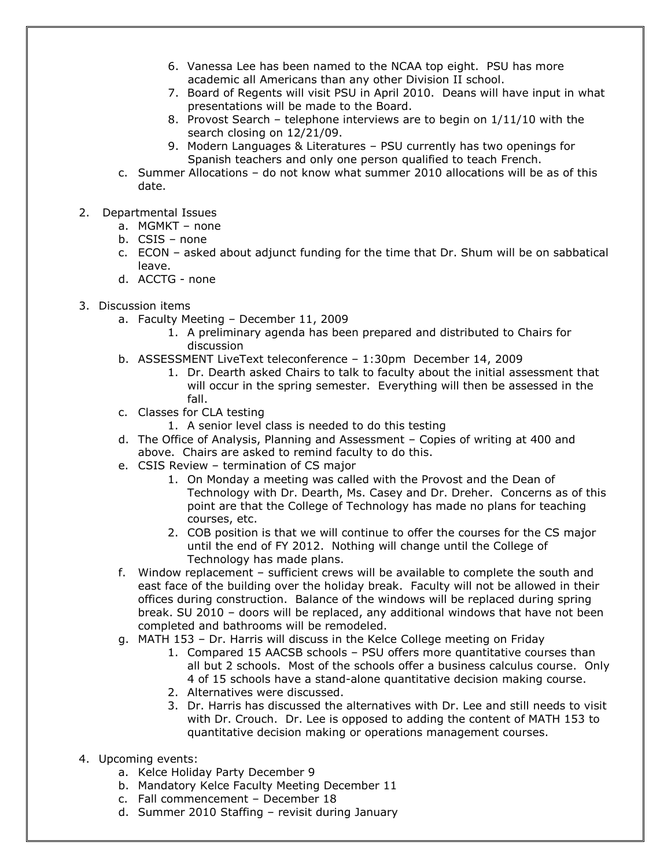- 6. Vanessa Lee has been named to the NCAA top eight. PSU has more academic all Americans than any other Division II school.
- 7. Board of Regents will visit PSU in April 2010. Deans will have input in what presentations will be made to the Board.
- 8. Provost Search telephone interviews are to begin on 1/11/10 with the search closing on 12/21/09.
- 9. Modern Languages & Literatures PSU currently has two openings for Spanish teachers and only one person qualified to teach French.
- c. Summer Allocations do not know what summer 2010 allocations will be as of this date.
- 2. Departmental Issues
	- a. MGMKT none
	- b. CSIS none
	- c. ECON asked about adjunct funding for the time that Dr. Shum will be on sabbatical leave.
	- d. ACCTG none
- 3. Discussion items
	- a. Faculty Meeting December 11, 2009
		- 1. A preliminary agenda has been prepared and distributed to Chairs for discussion
	- b. ASSESSMENT LiveText teleconference 1:30pm December 14, 2009
		- 1. Dr. Dearth asked Chairs to talk to faculty about the initial assessment that will occur in the spring semester. Everything will then be assessed in the fall.
	- c. Classes for CLA testing
		- 1. A senior level class is needed to do this testing
	- d. The Office of Analysis, Planning and Assessment Copies of writing at 400 and above. Chairs are asked to remind faculty to do this.
	- e. CSIS Review termination of CS major
		- 1. On Monday a meeting was called with the Provost and the Dean of Technology with Dr. Dearth, Ms. Casey and Dr. Dreher. Concerns as of this point are that the College of Technology has made no plans for teaching courses, etc.
		- 2. COB position is that we will continue to offer the courses for the CS major until the end of FY 2012. Nothing will change until the College of Technology has made plans.
	- f. Window replacement sufficient crews will be available to complete the south and east face of the building over the holiday break. Faculty will not be allowed in their offices during construction. Balance of the windows will be replaced during spring break. SU 2010 – doors will be replaced, any additional windows that have not been completed and bathrooms will be remodeled.
	- g. MATH 153 Dr. Harris will discuss in the Kelce College meeting on Friday
		- 1. Compared 15 AACSB schools PSU offers more quantitative courses than all but 2 schools. Most of the schools offer a business calculus course. Only 4 of 15 schools have a stand-alone quantitative decision making course.
		- 2. Alternatives were discussed.
		- 3. Dr. Harris has discussed the alternatives with Dr. Lee and still needs to visit with Dr. Crouch. Dr. Lee is opposed to adding the content of MATH 153 to quantitative decision making or operations management courses.
- 4. Upcoming events:
	- a. Kelce Holiday Party December 9
	- b. Mandatory Kelce Faculty Meeting December 11
	- c. Fall commencement December 18
	- d. Summer 2010 Staffing revisit during January